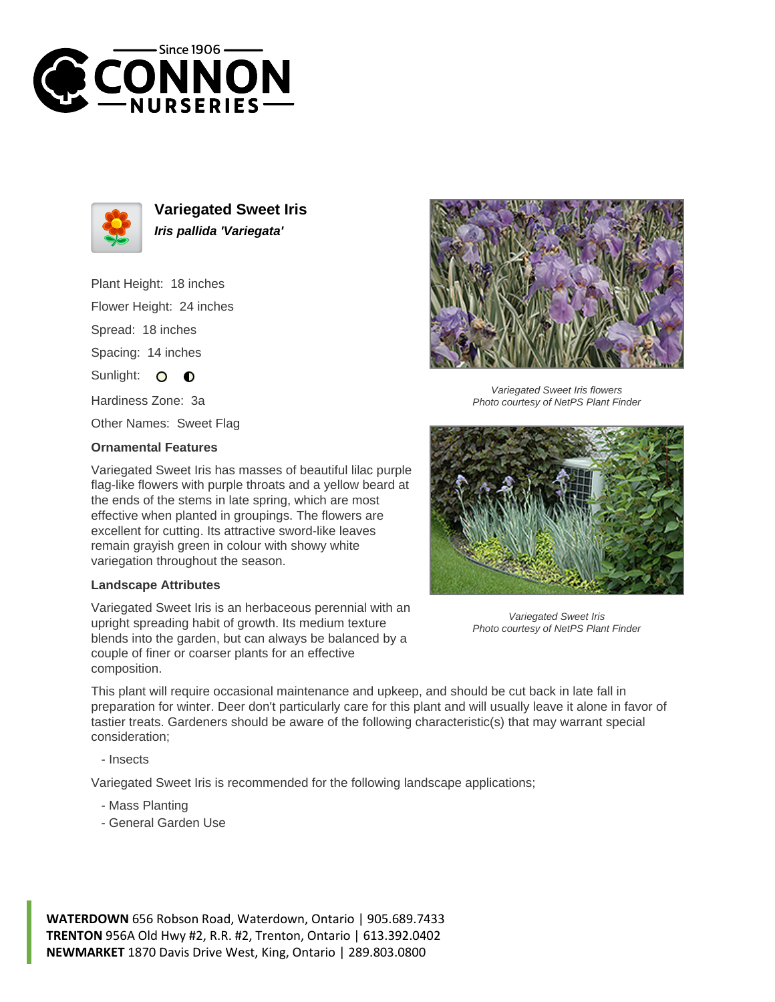



**Variegated Sweet Iris Iris pallida 'Variegata'**

Plant Height: 18 inches

Flower Height: 24 inches

Spread: 18 inches

Spacing: 14 inches

Sunlight: O  $\bullet$ 

Hardiness Zone: 3a

Other Names: Sweet Flag

## **Ornamental Features**

Variegated Sweet Iris has masses of beautiful lilac purple flag-like flowers with purple throats and a yellow beard at the ends of the stems in late spring, which are most effective when planted in groupings. The flowers are excellent for cutting. Its attractive sword-like leaves remain grayish green in colour with showy white variegation throughout the season.

## **Landscape Attributes**

Variegated Sweet Iris is an herbaceous perennial with an upright spreading habit of growth. Its medium texture blends into the garden, but can always be balanced by a couple of finer or coarser plants for an effective composition.



Variegated Sweet Iris flowers Photo courtesy of NetPS Plant Finder



Variegated Sweet Iris Photo courtesy of NetPS Plant Finder

This plant will require occasional maintenance and upkeep, and should be cut back in late fall in preparation for winter. Deer don't particularly care for this plant and will usually leave it alone in favor of tastier treats. Gardeners should be aware of the following characteristic(s) that may warrant special consideration;

- Insects

Variegated Sweet Iris is recommended for the following landscape applications;

- Mass Planting
- General Garden Use

**WATERDOWN** 656 Robson Road, Waterdown, Ontario | 905.689.7433 **TRENTON** 956A Old Hwy #2, R.R. #2, Trenton, Ontario | 613.392.0402 **NEWMARKET** 1870 Davis Drive West, King, Ontario | 289.803.0800